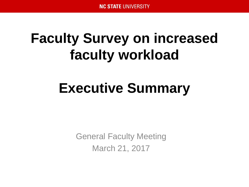# **Faculty Survey on increased faculty workload**

# **Executive Summary**

General Faculty Meeting March 21, 2017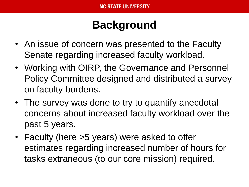## **Background**

- An issue of concern was presented to the Faculty Senate regarding increased faculty workload.
- Working with OIRP, the Governance and Personnel Policy Committee designed and distributed a survey on faculty burdens.
- The survey was done to try to quantify anecdotal concerns about increased faculty workload over the past 5 years.
- Faculty (here >5 years) were asked to offer estimates regarding increased number of hours for tasks extraneous (to our core mission) required.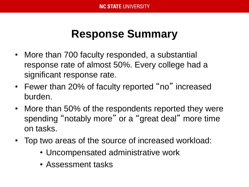#### **Response Summary**

- More than 700 faculty responded, a substantial response rate of almost 50%. Every college had a significant response rate.
- Fewer than 20% of faculty reported "no" increased burden.
- More than 50% of the respondents reported they were spending "notably more" or a "great deal" more time on tasks.
- Top two areas of the source of increased workload:
	- Uncompensated administrative work
	- Assessment tasks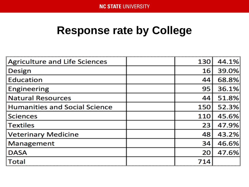#### **Response rate by College**

| <b>Agriculture and Life Sciences</b> | 130 | 44.1% |
|--------------------------------------|-----|-------|
| Design                               | 16  | 39.0% |
| <b>Education</b>                     | 44  | 68.8% |
| Engineering                          | 95  | 36.1% |
| <b>Natural Resources</b>             | 44  | 51.8% |
| <b>Humanities and Social Science</b> | 150 | 52.3% |
| <b>Sciences</b>                      | 110 | 45.6% |
| Textiles                             | 23  | 47.9% |
| <b>Veterinary Medicine</b>           | 48  | 43.2% |
| Management                           | 34  | 46.6% |
| <b>DASA</b>                          | 20  | 47.6% |
| <b>Total</b>                         | 714 |       |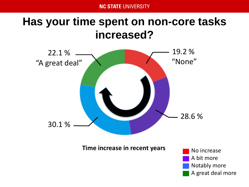#### **Has your time spent on non-core tasks increased?**

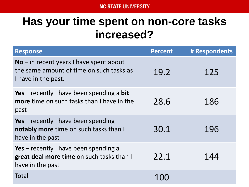#### **Has your time spent on non-core tasks increased?**

| <b>Response</b>                                                                                              | <b>Percent</b> | # Respondents |
|--------------------------------------------------------------------------------------------------------------|----------------|---------------|
| $No$ – in recent years I have spent about<br>the same amount of time on such tasks as<br>I have in the past. | 19.2           | 125           |
| Yes – recently I have been spending a bit<br><b>more</b> time on such tasks than I have in the<br>past       | 28.6           | 186           |
| Yes – recently I have been spending<br>notably more time on such tasks than I<br>have in the past            | 30.1           | 196           |
| Yes – recently I have been spending a<br>great deal more time on such tasks than I<br>have in the past       | 22.1           | 144           |
| Total                                                                                                        |                |               |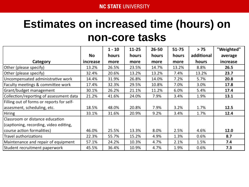### **Estimates on increased time (hours) on non-core tasks**

|                                           |          | $1 - 10$     | $11 - 25$ | 26-50 | $51 - 75$ | > 75         | "Weighted" |
|-------------------------------------------|----------|--------------|-----------|-------|-----------|--------------|------------|
|                                           | No.      | <b>hours</b> | hours     | hours | hours     | additional   | average    |
| Category                                  | increase | more         | more      | more  | more      | <b>hours</b> | increase   |
| Other (please specify)                    | 13.2%    | 26.5%        | 23.5%     | 14.7% | 13.2%     | 8.8%         | 26.5       |
| Other (please specify)                    | 32.4%    | 20.6%        | 13.2%     | 13.2% | 7.4%      | 13.2%        | 23.7       |
| Uncompensated administrative work         | 14.4%    | 31.9%        | 26.8%     | 14.0% | 7.2%      | 5.7%         | 20.8       |
| Faculty meetings & committee work         | 17.4%    | 32.3%        | 29.5%     | 10.8% | 7.0%      | 3.0%         | 17.8       |
| Grant/budget management                   | 30.1%    | 26.2%        | 21.1%     | 11.2% | 6.0%      | 5.4%         | 17.4       |
| Collection/reporting of assessment data   | 21.2%    | 41.6%        | 24.0%     | 7.9%  | 3.4%      | 1.9%         | 13.1       |
| Filling out of forms or reports for self- |          |              |           |       |           |              |            |
| assesment, scheduling, etc.               | 18.5%    | 48.0%        | 20.8%     | 7.9%  | 3.2%      | 1.7%         | 12.5       |
| <b>Hiring</b>                             | 33.1%    | 31.6%        | 20.9%     | 9.2%  | 3.4%      | 1.7%         | 12.4       |
| Classroom or distance education           |          |              |           |       |           |              |            |
| (captioning, recording, video editing,    |          |              |           |       |           |              |            |
| course action formalities)                | 46.0%    | 25.5%        | 13.3%     | 8.0%  | 2.5%      | 4.6%         | 12.0       |
| Travel authorizations                     | 22.3%    | 55.7%        | 15.2%     | 4.9%  | 1.3%      | 0.6%         | 8.7        |
| Maintenance and repair of equipment       | 57.1%    | 24.2%        | 10.3%     | 4.7%  | 2.1%      | 1.5%         | 7.4        |
| Student recruitment paperwork             | 45.5%    | 36.4%        | 10.9%     | 4.7%  | 1.9%      | 0.6%         | 7.3        |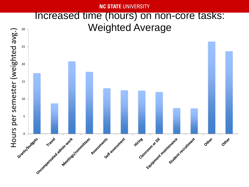**NC STATE UNIVERSITY** 

#### Increased time (hours) on non-core tasks: Weighted Average

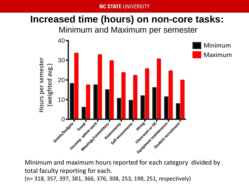#### **NC STATE UNIVERSITY**

#### Misimum and Meximum reports the **Increased time (hours) on non-core tasks:**



Minimum and maximum hours reported for each category divided by total faculty reporting for each.

(n= 318, 357, 397, 381, 366, 376, 308, 253, 198, 251, respectively)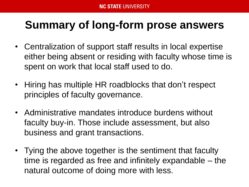#### **Summary of long-form prose answers**

- Centralization of support staff results in local expertise either being absent or residing with faculty whose time is spent on work that local staff used to do.
- Hiring has multiple HR roadblocks that don't respect principles of faculty governance.
- Administrative mandates introduce burdens without faculty buy-in. Those include assessment, but also business and grant transactions.
- Tying the above together is the sentiment that faculty time is regarded as free and infinitely expandable – the natural outcome of doing more with less.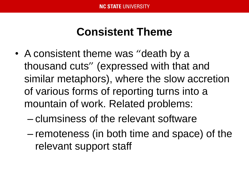#### **Consistent Theme**

- A consistent theme was "death by a thousand cuts" (expressed with that and similar metaphors), where the slow accretion of various forms of reporting turns into a mountain of work. Related problems:
	- clumsiness of the relevant software
	- remoteness (in both time and space) of the relevant support staff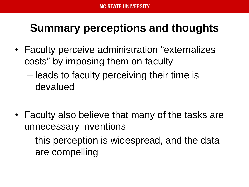## **Summary perceptions and thoughts**

- Faculty perceive administration "externalizes costs" by imposing them on faculty
	- leads to faculty perceiving their time is devalued
- Faculty also believe that many of the tasks are unnecessary inventions
	- this perception is widespread, and the data are compelling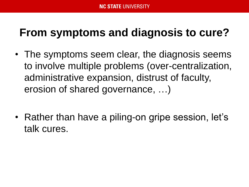#### **From symptoms and diagnosis to cure?**

- The symptoms seem clear, the diagnosis seems to involve multiple problems (over-centralization, administrative expansion, distrust of faculty, erosion of shared governance, …)
- Rather than have a piling-on gripe session, let's talk cures.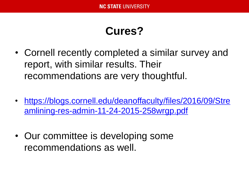#### **Cures?**

- Cornell recently completed a similar survey and report, with similar results. Their recommendations are very thoughtful.
- [https://blogs.cornell.edu/deanoffaculty/files/2016/09/Stre](https://blogs.cornell.edu/deanoffaculty/files/2016/09/Streamlining-res-admin-11-24-2015-258wrgp.pdf) amlining-res-admin-11-24-2015-258wrgp.pdf
- Our committee is developing some recommendations as well.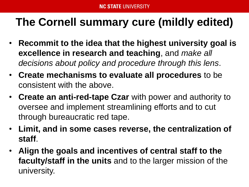### **The Cornell summary cure (mildly edited)**

- **Recommit to the idea that the highest university goal is excellence in research and teaching**, and *make all decisions about policy and procedure through this lens*.
- **Create mechanisms to evaluate all procedures** to be consistent with the above.
- **Create an anti-red-tape Czar** with power and authority to oversee and implement streamlining efforts and to cut through bureaucratic red tape.
- **Limit, and in some cases reverse, the centralization of staff**.
- **Align the goals and incentives of central staff to the faculty/staff in the units** and to the larger mission of the university.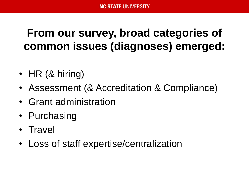#### **From our survey, broad categories of common issues (diagnoses) emerged:**

- HR (& hiring)
- Assessment (& Accreditation & Compliance)
- Grant administration
- Purchasing
- Travel
- Loss of staff expertise/centralization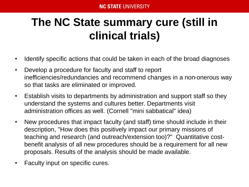## **The NC State summary cure (still in clinical trials)**

- Identify specific actions that could be taken in each of the broad diagnoses
- Develop a procedure for faculty and staff to report inefficiencies/redundancies and recommend changes in a non-onerous way so that tasks are eliminated or improved.
- Establish visits to departments by administration and support staff so they understand the systems and cultures better. Departments visit administration offices as well. (Cornell "mini sabbatical" idea)
- New procedures that impact faculty (and staff) time should include in their description, "How does this positively impact our primary missions of teaching and research (and outreach/extension too)?" Quantitative costbenefit analysis of all new procedures should be a requirement for all new proposals. Results of the analysis should be made available.
- Faculty input on specific cures.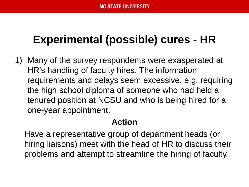#### **Experimental (possible) cures - HR**

1) Many of the survey respondents were exasperated at HR's handling of faculty hires. The information requirements and delays seem excessive, e.g. requiring the high school diploma of someone who had held a tenured position at NCSU and who is being hired for a one-year appointment.

#### **Action**

Have a representative group of department heads (or hiring liaisons) meet with the head of HR to discuss their problems and attempt to streamline the hiring of faculty.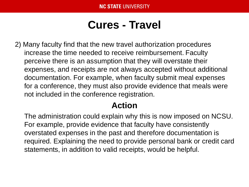#### **Cures - Travel**

2) Many faculty find that the new travel authorization procedures increase the time needed to receive reimbursement. Faculty perceive there is an assumption that they will overstate their expenses, and receipts are not always accepted without additional documentation. For example, when faculty submit meal expenses for a conference, they must also provide evidence that meals were not included in the conference registration.

#### **Action**

The administration could explain why this is now imposed on NCSU. For example, provide evidence that faculty have consistently overstated expenses in the past and therefore documentation is required. Explaining the need to provide personal bank or credit card statements, in addition to valid receipts, would be helpful.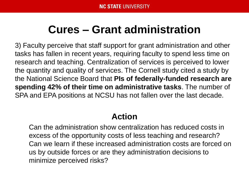#### **Cures – Grant administration**

3) Faculty perceive that staff support for grant administration and other tasks has fallen in recent years, requiring faculty to spend less time on research and teaching. Centralization of services is perceived to lower the quantity and quality of services. The Cornell study cited a study by the National Science Board that **PIs of federally-funded research are spending 42% of their time on administrative tasks**. The number of SPA and EPA positions at NCSU has not fallen over the last decade.

#### **Action**

Can the administration show centralization has reduced costs in excess of the opportunity costs of less teaching and research? Can we learn if these increased administration costs are forced on us by outside forces or are they administration decisions to minimize perceived risks?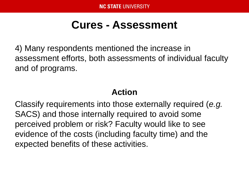#### **Cures - Assessment**

4) Many respondents mentioned the increase in assessment efforts, both assessments of individual faculty and of programs.

#### **Action**

Classify requirements into those externally required (*e.g.*  SACS) and those internally required to avoid some perceived problem or risk? Faculty would like to see evidence of the costs (including faculty time) and the expected benefits of these activities.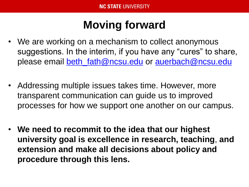### **Moving forward**

- We are working on a mechanism to collect anonymous suggestions. In the interim, if you have any "cures" to share, please email [beth\\_fath@ncsu.edu](mailto:beth_fath@ncsu.edu) or [auerbach@ncsu.edu](mailto:auerbach@ncsu.edu)
- Addressing multiple issues takes time. However, more transparent communication can guide us to improved processes for how we support one another on our campus.
- **We need to recommit to the idea that our highest university goal is excellence in research, teaching**, **and extension and make all decisions about policy and procedure through this lens.**